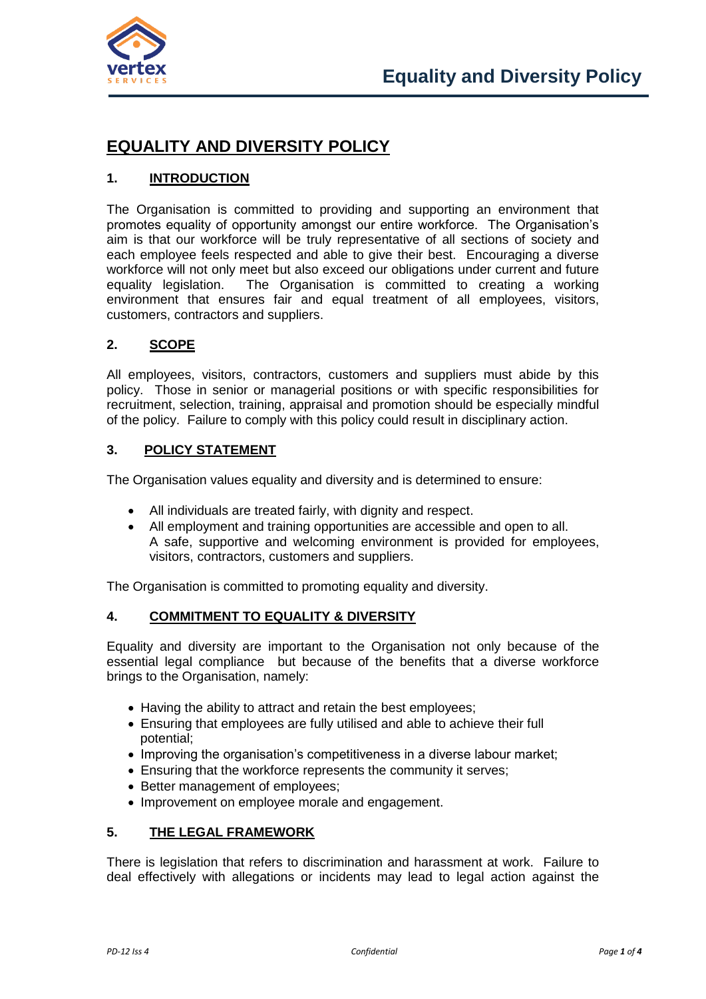

# **EQUALITY AND DIVERSITY POLICY**

# **1. INTRODUCTION**

The Organisation is committed to providing and supporting an environment that promotes equality of opportunity amongst our entire workforce. The Organisation's aim is that our workforce will be truly representative of all sections of society and each employee feels respected and able to give their best. Encouraging a diverse workforce will not only meet but also exceed our obligations under current and future equality legislation. The Organisation is committed to creating a working environment that ensures fair and equal treatment of all employees, visitors, customers, contractors and suppliers.

# **2. SCOPE**

All employees, visitors, contractors, customers and suppliers must abide by this policy. Those in senior or managerial positions or with specific responsibilities for recruitment, selection, training, appraisal and promotion should be especially mindful of the policy. Failure to comply with this policy could result in disciplinary action.

## **3. POLICY STATEMENT**

The Organisation values equality and diversity and is determined to ensure:

- All individuals are treated fairly, with dignity and respect.
- All employment and training opportunities are accessible and open to all. A safe, supportive and welcoming environment is provided for employees, visitors, contractors, customers and suppliers.

The Organisation is committed to promoting equality and diversity.

## **4. COMMITMENT TO EQUALITY & DIVERSITY**

Equality and diversity are important to the Organisation not only because of the essential legal compliance but because of the benefits that a diverse workforce brings to the Organisation, namely:

- Having the ability to attract and retain the best employees;
- Ensuring that employees are fully utilised and able to achieve their full potential;
- Improving the organisation's competitiveness in a diverse labour market;
- Ensuring that the workforce represents the community it serves;
- Better management of employees;
- Improvement on employee morale and engagement.

# **5. THE LEGAL FRAMEWORK**

There is legislation that refers to discrimination and harassment at work. Failure to deal effectively with allegations or incidents may lead to legal action against the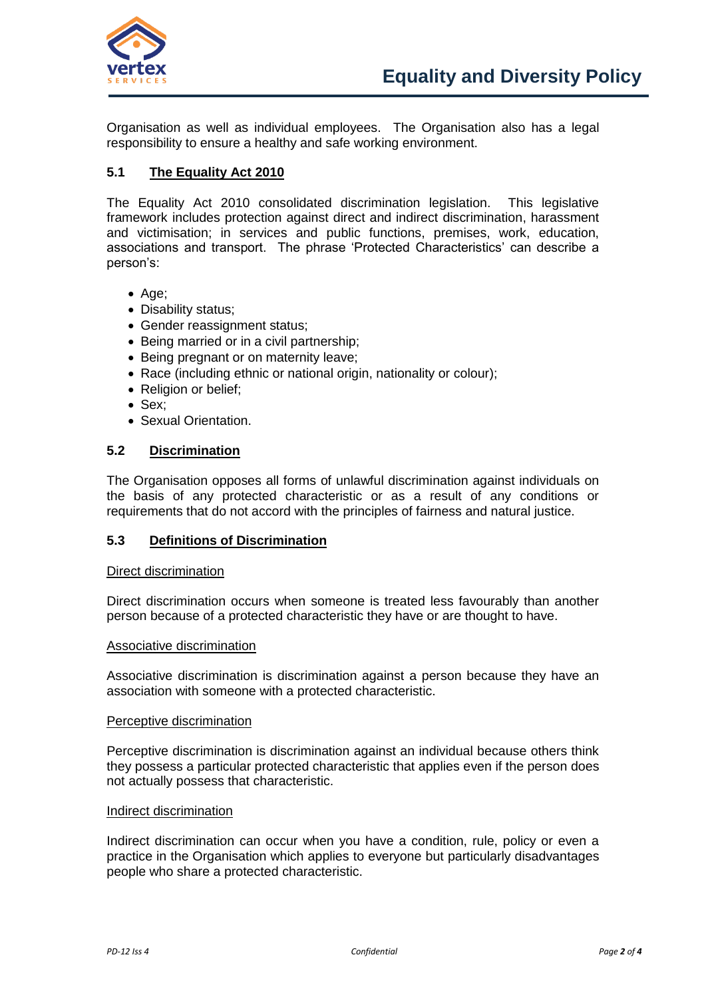

Organisation as well as individual employees. The Organisation also has a legal responsibility to ensure a healthy and safe working environment.

# **5.1 The Equality Act 2010**

The Equality Act 2010 consolidated discrimination legislation. This legislative framework includes protection against direct and indirect discrimination, harassment and victimisation; in services and public functions, premises, work, education, associations and transport. The phrase 'Protected Characteristics' can describe a person's:

- Age:
- Disability status:
- Gender reassignment status;
- Being married or in a civil partnership;
- Being pregnant or on maternity leave;
- Race (including ethnic or national origin, nationality or colour);
- Religion or belief:
- Sex;
- Sexual Orientation.

## **5.2 Discrimination**

The Organisation opposes all forms of unlawful discrimination against individuals on the basis of any protected characteristic or as a result of any conditions or requirements that do not accord with the principles of fairness and natural justice.

## **5.3 Definitions of Discrimination**

#### Direct discrimination

Direct discrimination occurs when someone is treated less favourably than another person because of a protected characteristic they have or are thought to have.

#### Associative discrimination

Associative discrimination is discrimination against a person because they have an association with someone with a protected characteristic.

#### Perceptive discrimination

Perceptive discrimination is discrimination against an individual because others think they possess a particular protected characteristic that applies even if the person does not actually possess that characteristic.

## Indirect discrimination

Indirect discrimination can occur when you have a condition, rule, policy or even a practice in the Organisation which applies to everyone but particularly disadvantages people who share a protected characteristic.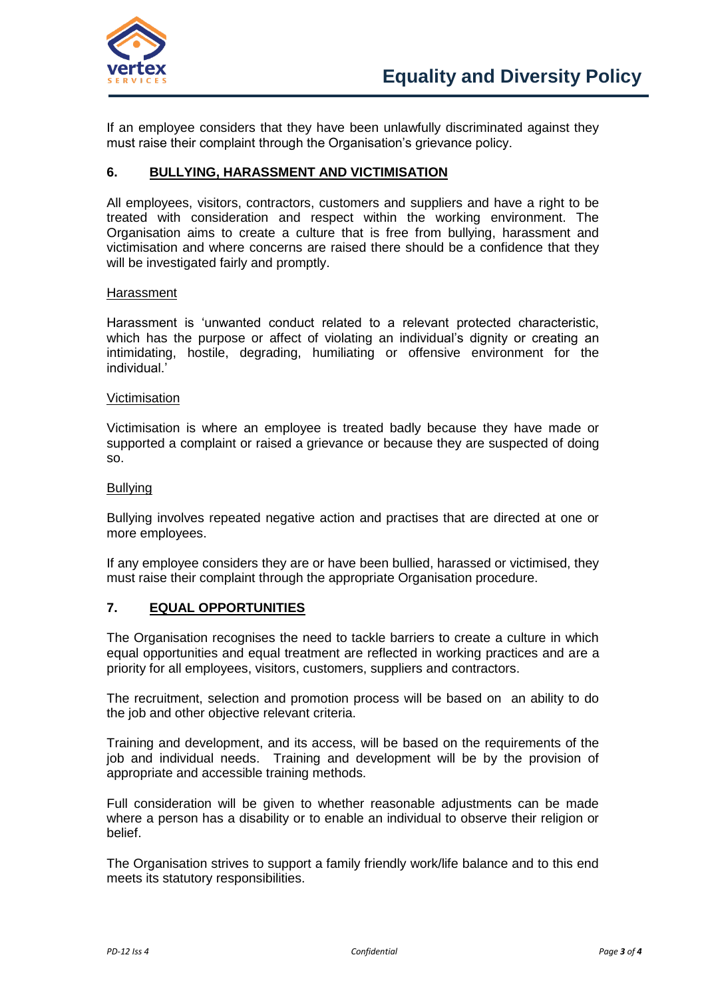

If an employee considers that they have been unlawfully discriminated against they must raise their complaint through the Organisation's grievance policy.

## **6. BULLYING, HARASSMENT AND VICTIMISATION**

All employees, visitors, contractors, customers and suppliers and have a right to be treated with consideration and respect within the working environment. The Organisation aims to create a culture that is free from bullying, harassment and victimisation and where concerns are raised there should be a confidence that they will be investigated fairly and promptly.

#### Harassment

Harassment is 'unwanted conduct related to a relevant protected characteristic, which has the purpose or affect of violating an individual's dignity or creating an intimidating, hostile, degrading, humiliating or offensive environment for the individual<sup>'</sup>

#### **Victimisation**

Victimisation is where an employee is treated badly because they have made or supported a complaint or raised a grievance or because they are suspected of doing so.

#### **Bullving**

Bullying involves repeated negative action and practises that are directed at one or more employees.

If any employee considers they are or have been bullied, harassed or victimised, they must raise their complaint through the appropriate Organisation procedure.

#### **7. EQUAL OPPORTUNITIES**

The Organisation recognises the need to tackle barriers to create a culture in which equal opportunities and equal treatment are reflected in working practices and are a priority for all employees, visitors, customers, suppliers and contractors.

The recruitment, selection and promotion process will be based on an ability to do the job and other objective relevant criteria.

Training and development, and its access, will be based on the requirements of the job and individual needs. Training and development will be by the provision of appropriate and accessible training methods.

Full consideration will be given to whether reasonable adjustments can be made where a person has a disability or to enable an individual to observe their religion or belief.

The Organisation strives to support a family friendly work/life balance and to this end meets its statutory responsibilities.